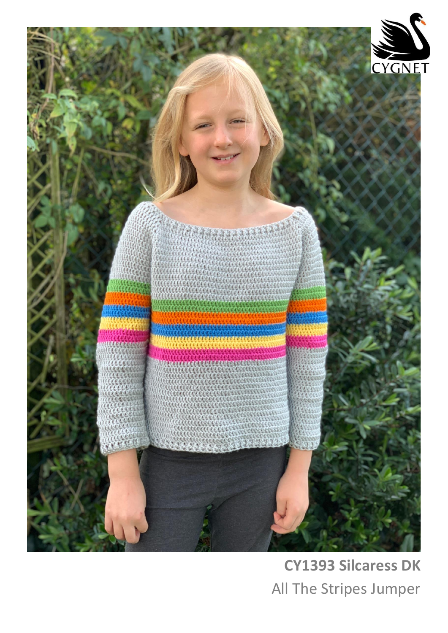

# **CY1393 Silcaress DK** All The Stripes Jumper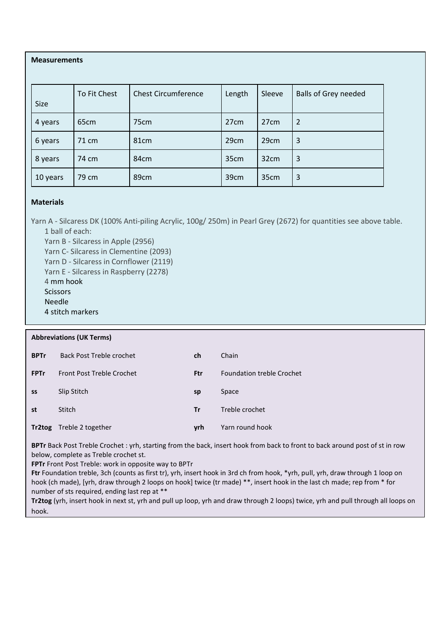## **Measurements**

| <b>Size</b> | To Fit Chest     | <b>Chest Circumference</b> | Length           | Sleeve           | <b>Balls of Grey needed</b> |
|-------------|------------------|----------------------------|------------------|------------------|-----------------------------|
| 4 years     | 65 <sub>cm</sub> | 75cm                       | 27 <sub>cm</sub> | 27 <sub>cm</sub> | $\overline{2}$              |
| 6 years     | 71 cm            | 81 <sub>cm</sub>           | 29cm             | 29cm             | 3                           |
| 8 years     | 74 cm            | 84cm                       | 35cm             | 32cm             | 3                           |
| 10 years    | 79 cm            | 89cm                       | 39cm             | 35cm             | 3                           |

## **Materials**

Yarn A - Silcaress DK (100% Anti-piling Acrylic, 100g/ 250m) in Pearl Grey (2672) for quantities see above table. 1 ball of each:

Yarn B - Silcaress in Apple (2956) Yarn C- Silcaress in Clementine (2093) Yarn D - Silcaress in Cornflower (2119) Yarn E - Silcaress in Raspberry (2278) 4 mm hook **Scissors** Needle 4 stitch markers

#### **Abbreviations (UK Terms)**

| <b>BPTr</b> | Back Post Treble crochet         | ch         | Chain                            |
|-------------|----------------------------------|------------|----------------------------------|
| <b>FPTr</b> | <b>Front Post Treble Crochet</b> | <b>Ftr</b> | <b>Foundation treble Crochet</b> |
| SS          | Slip Stitch                      | sp         | Space                            |
| st          | <b>Stitch</b>                    | <b>Tr</b>  | Treble crochet                   |
| Tr2tog      | Treble 2 together                | vrh        | Yarn round hook                  |

**BPTr** Back Post Treble Crochet : yrh, starting from the back, insert hook from back to front to back around post of st in row below, complete as Treble crochet st.

**FPTr** Front Post Treble: work in opposite way to BPTr

**Ftr** Foundation treble, 3ch (counts as first tr), yrh, insert hook in 3rd ch from hook, \*yrh, pull, yrh, draw through 1 loop on hook (ch made), [yrh, draw through 2 loops on hook] twice (tr made) \*\*, insert hook in the last ch made; rep from \* for number of sts required, ending last rep at \*\*

**Tr2tog** (yrh, insert hook in next st, yrh and pull up loop, yrh and draw through 2 loops) twice, yrh and pull through all loops on hook.